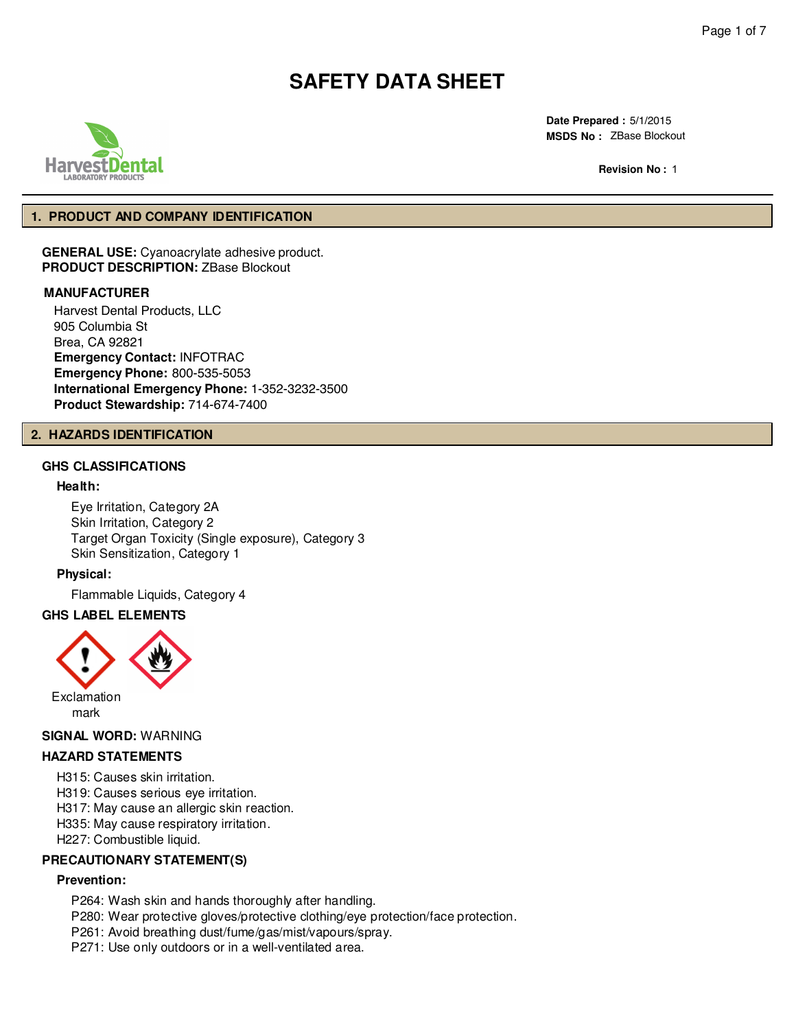

**Date Prepared :** 5/1/2015 **MSDS No :**  ZBase Blockout

**Revision No :** 

### **1. PRODUCT AND COMPANY IDENTIFICATION**

**GENERAL USE:** Cyanoacrylate adhesive product. **PRODUCT DESCRIPTION:** ZBase Blockout

### **MANUFACTURER**

Harvest Dental Products, LLC 905 Columbia St Brea, CA 92821 **Emergency Contact:** INFOTRAC **Emergency Phone:** 800-535-5053 **International Emergency Phone:** 1-352-323-3500 **Product Stewardship:** 714-674-7400

#### **2. HAZARDS IDENTIFICATION**

## **GHS CLASSIFICATIONS**

#### **Health:**

Eye Irritation, Category 2A Skin Irritation, Category 2 Target Organ Toxicity (Single exposure), Category 3 Skin Sensitization, Category 1

#### **Physical:**

Flammable Liquids, Category 4

## **GHS LABEL ELEMENTS**



### **SIGNAL WORD:** WARNING

### **HAZARD STATEMENTS**

- H315: Causes skin irritation.
- H319: Causes serious eye irritation.
- H317: May cause an allergic skin reaction.
- H335: May cause respiratory irritation.
- H227: Combustible liquid.

### **PRECAUTIONARY STATEMENT(S)**

## **Prevention:**

- P264: Wash skin and hands thoroughly after handling. P280: Wear protective gloves/protective clothing/eye protection/face protection. P261: Avoid breathing dust/fume/gas/mist/vapours/spray.
- P271: Use only outdoors or in a well-ventilated area.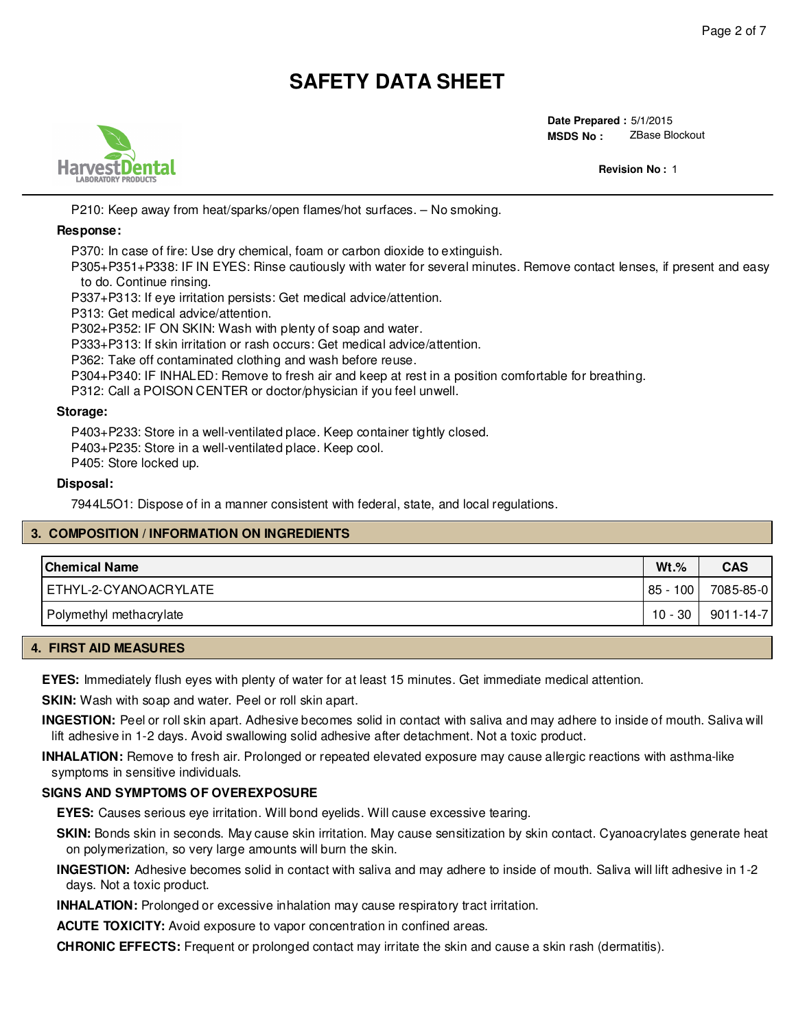

**Date Prepared :** 5/1/2015 **MSDS No :**  ZBase Blockout

**Revision No :** 2

P210: Keep away from heat/sparks/open flames/hot surfaces. – No smoking.

### **Response:**

P370: In case of fire: Use dry chemical, foam or carbon dioxide to extinguish.

P305+P351+P338: IF IN EYES: Rinse cautiously with water for several minutes. Remove contact lenses, if present and easy to do. Continue rinsing.

P337+P313: If eye irritation persists: Get medical advice/attention.

P313: Get medical advice/attention.

P302+P352: IF ON SKIN: Wash with plenty of soap and water.

P333+P313: If skin irritation or rash occurs: Get medical advice/attention.

P362: Take off contaminated clothing and wash before reuse.

P304+P340: IF INHALED: Remove to fresh air and keep at rest in a position comfortable for breathing.

P312: Call a POISON CENTER or doctor/physician if you feel unwell.

### **Storage:**

P403+P233: Store in a well-ventilated place. Keep container tightly closed. P403+P235: Store in a well-ventilated place. Keep cool.

P405: Store locked up.

### **Disposal:**

7944L5O1: Dispose of in a manner consistent with federal, state, and local regulations.

### **3. COMPOSITION / INFORMATION ON INGREDIENTS**

| <b>Chemical Name</b>    | $Wt.$ %    | <b>CAS</b>      |
|-------------------------|------------|-----------------|
| ETHYL-2-CYANOACRYLATE   | $85 - 100$ | 7085-85-0       |
| Polymethyl methacrylate | $10 - 30$  | $9011 - 14 - 7$ |

### **4. FIRST AID MEASURES**

**EYES:** Immediately flush eyes with plenty of water for at least 15 minutes. Get immediate medical attention.

**SKIN:** Wash with soap and water. Peel or roll skin apart.

**INGESTION:** Peel or roll skin apart. Adhesive becomes solid in contact with saliva and may adhere to inside of mouth. Saliva will lift adhesive in 1-2 days. Avoid swallowing solid adhesive after detachment. Not a toxic product.

**INHALATION:** Remove to fresh air. Prolonged or repeated elevated exposure may cause allergic reactions with asthma-like symptoms in sensitive individuals.

### **SIGNS AND SYMPTOMS OF OVEREXPOSURE**

**EYES:** Causes serious eye irritation. Will bond eyelids. Will cause excessive tearing.

**SKIN:** Bonds skin in seconds. May cause skin irritation. May cause sensitization by skin contact. Cyanoacrylates generate heat on polymerization, so very large amounts will burn the skin.

**INGESTION:** Adhesive becomes solid in contact with saliva and may adhere to inside of mouth. Saliva will lift adhesive in 1-2 days. Not a toxic product.

**INHALATION:** Prolonged or excessive inhalation may cause respiratory tract irritation.

ACUTE TOXICITY: Avoid exposure to vapor concentration in confined areas.

**CHRONIC EFFECTS:** Frequent or prolonged contact may irritate the skin and cause a skin rash (dermatitis).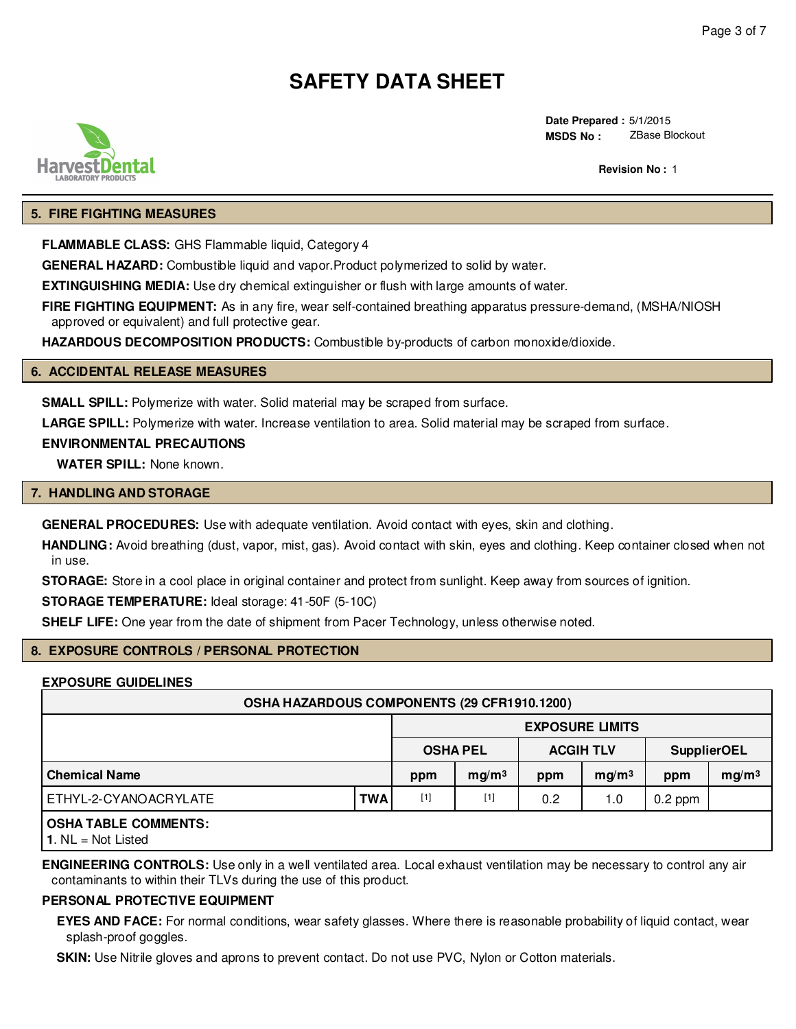

**Date Prepared :** 5/1/2015 **MSDS No :**  ZBase Blockout

**Revision No :** 2

### **5. FIRE FIGHTING MEASURES**

**FLAMMABLE CLASS:** GHS Flammable liquid, Category 4

**GENERAL HAZARD:** Combustible liquid and vapor.Product polymerized to solid by water.

**EXTINGUISHING MEDIA:** Use dry chemical extinguisher or flush with large amounts of water.

**FIRE FIGHTING EQUIPMENT:** As in any fire, wear self-contained breathing apparatus pressure-demand, (MSHA/NIOSH approved or equivalent) and full protective gear.

**HAZARDOUS DECOMPOSITION PRODUCTS:** Combustible by-products of carbon monoxide/dioxide.

## **6. ACCIDENTAL RELEASE MEASURES**

**SMALL SPILL:** Polymerize with water. Solid material may be scraped from surface.

**LARGE SPILL:** Polymerize with water. Increase ventilation to area. Solid material may be scraped from surface.

### **ENVIRONMENTAL PRECAUTIONS**

**WATER SPILL:** None known.

#### **7. HANDLING AND STORAGE**

**GENERAL PROCEDURES:** Use with adequate ventilation. Avoid contact with eyes, skin and clothing.

**HANDLING:** Avoid breathing (dust, vapor, mist, gas). Avoid contact with skin, eyes and clothing. Keep container closed when not in use.

**STORAGE:** Store in a cool place in original container and protect from sunlight. Keep away from sources of ignition.

**STORAGE TEMPERATURE:** Ideal storage: 41-50F (5-10C)

**SHELF LIFE:** One year from the date of shipment from Pacer Technology, unless otherwise noted.

### **8. EXPOSURE CONTROLS / PERSONAL PROTECTION**

### **EXPOSURE GUIDELINES**

| OSHA HAZARDOUS COMPONENTS (29 CFR1910.1200) |                        |       |                   |                                        |                   |           |                   |
|---------------------------------------------|------------------------|-------|-------------------|----------------------------------------|-------------------|-----------|-------------------|
|                                             | <b>EXPOSURE LIMITS</b> |       |                   |                                        |                   |           |                   |
|                                             |                        |       | <b>OSHA PEL</b>   | <b>ACGIH TLV</b><br><b>SupplierOEL</b> |                   |           |                   |
| <b>Chemical Name</b>                        |                        | ppm   | mg/m <sup>3</sup> | ppm                                    | mg/m <sup>3</sup> | ppm       | mg/m <sup>3</sup> |
| ETHYL-2-CYANOACRYLATE                       | <b>TWA</b>             | $[1]$ | $[1]$             | 0.2                                    | 1.0               | $0.2$ ppm |                   |
| <b>OSHA TABLE COMMENTS:</b>                 |                        |       |                   |                                        |                   |           |                   |

**1**. NL = Not Listed

**ENGINEERING CONTROLS:** Use only in a well ventilated area. Local exhaust ventilation may be necessary to control any air contaminants to within their TLVs during the use of this product.

## **PERSONAL PROTECTIVE EQUIPMENT**

**EYES AND FACE:** For normal conditions, wear safety glasses. Where there is reasonable probability of liquid contact, wear splash-proof goggles.

**SKIN:** Use Nitrile gloves and aprons to prevent contact. Do not use PVC, Nylon or Cotton materials.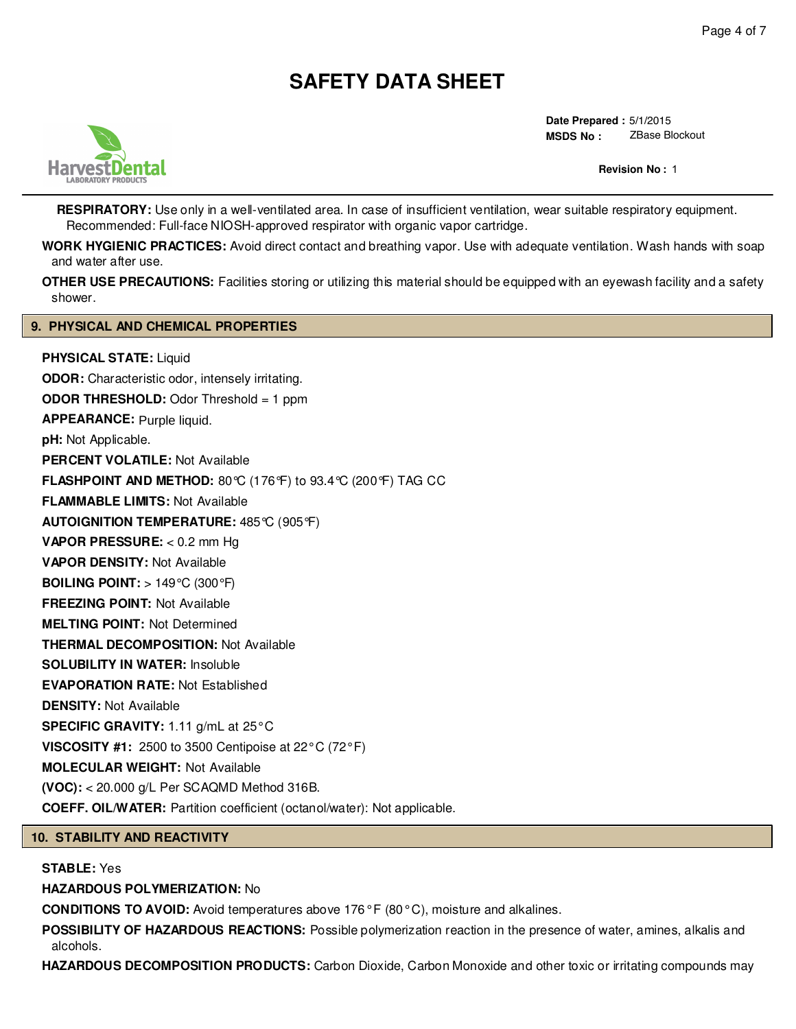

**Date Prepared :** 5/1/2015 **MSDS No :**  ZBase Blockout

**Revision No :** 2

**RESPIRATORY:** Use only in a well-ventilated area. In case of insufficient ventilation, wear suitable respiratory equipment. Recommended: Full-face NIOSH-approved respirator with organic vapor cartridge.

**WORK HYGIENIC PRACTICES:** Avoid direct contact and breathing vapor. Use with adequate ventilation. Wash hands with soap and water after use.

**OTHER USE PRECAUTIONS:** Facilities storing or utilizing this material should be equipped with an eyewash facility and a safety shower.

### **9. PHYSICAL AND CHEMICAL PROPERTIES**

**PHYSICAL STATE:** Liquid **ODOR:** Characteristic odor, intensely irritating. **ODOR THRESHOLD:** Odor Threshold = 1 ppm **APPEARANCE:** Purple liquid.**pH:** Not Applicable. **PERCENT VOLATILE:** Not Available **FLASHPOINT AND METHOD:** 80°C (176°F) to 93.4°C (200°F) TAG CC **FLAMMABLE LIMITS:** Not Available **AUTOIGNITION TEMPERATURE:** 485°C (905°F) **VAPOR PRESSURE:** < 0.2 mm Hg **VAPOR DENSITY:** Not Available **BOILING POINT:** > 149°C (300°F) **FREEZING POINT:** Not Available **MELTING POINT:** Not Determined **THERMAL DECOMPOSITION:** Not Available **SOLUBILITY IN WATER:** Insoluble **EVAPORATION RATE:** Not Established **DENSITY:** Not Available **SPECIFIC GRAVITY:** 1.11 g/mL at 25°C **VISCOSITY #1:** 2500 to 3500 Centipoise at 22°C (72°F) **MOLECULAR WEIGHT:** Not Available **(VOC):** < 20.000 g/L Per SCAQMD Method 316B. **COEFF. OIL/WATER:** Partition coefficient (octanol/water): Not applicable.

## **10. STABILITY AND REACTIVITY**

### **STABLE:** Yes

**HAZARDOUS POLYMERIZATION:** No

**CONDITIONS TO AVOID:** Avoid temperatures above 176° F (80° C), moisture and alkalines.

**POSSIBILITY OF HAZARDOUS REACTIONS:** Possible polymerization reaction in the presence of water, amines, alkalis and alcohols.

**HAZARDOUS DECOMPOSITION PRODUCTS:** Carbon Dioxide, Carbon Monoxide and other toxic or irritating compounds may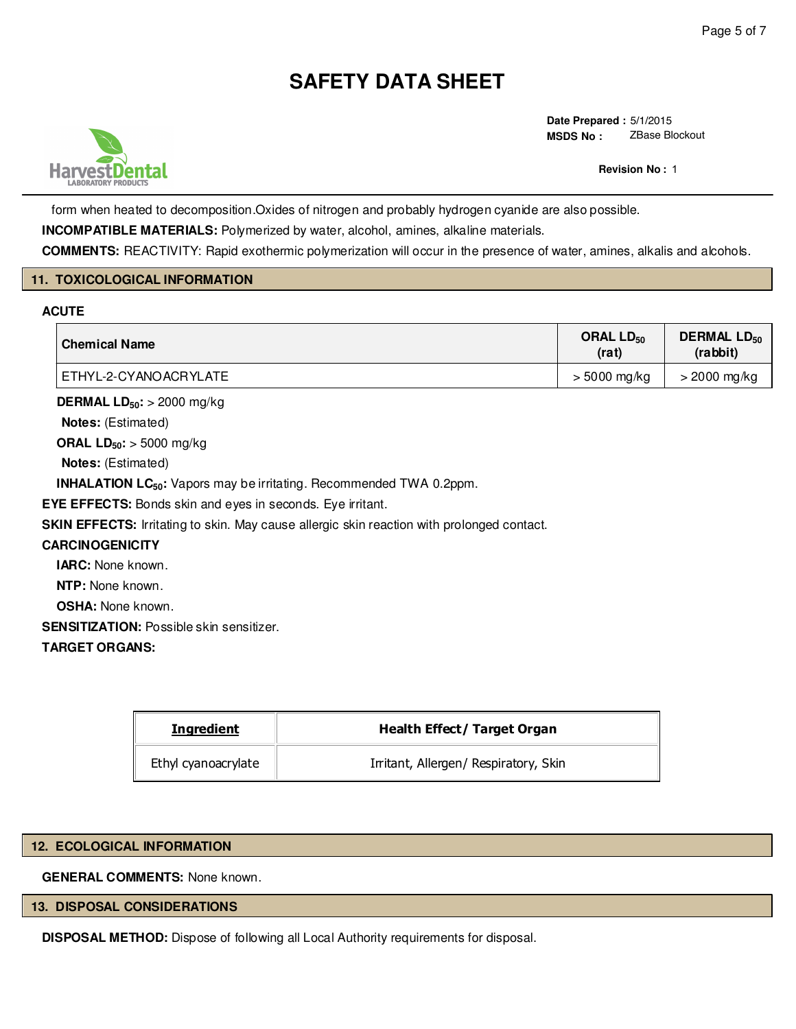

**Date Prepared :** 5/1/2015 **MSDS No :**  ZBase Blockout

**Revision No :** 2

form when heated to decomposition.Oxides of nitrogen and probably hydrogen cyanide are also possible.

**INCOMPATIBLE MATERIALS:** Polymerized by water, alcohol, amines, alkaline materials.

**COMMENTS:** REACTIVITY: Rapid exothermic polymerization will occur in the presence of water, amines, alkalis and alcohols.

### **11. TOXICOLOGICAL INFORMATION**

### **ACUTE**

| <b>Chemical Name</b>  | ORAL LD <sub>50</sub><br>(rat) | <b>DERMAL LD<sub>50</sub></b><br>(rabbit) |
|-----------------------|--------------------------------|-------------------------------------------|
| ETHYL-2-CYANOACRYLATE | $> 5000$ mg/kg                 | $>$ 2000 mg/kg                            |

**DERMAL LD50:** > 2000 mg/kg

**Notes:** (Estimated)

**ORAL LD50:** > 5000 mg/kg

**Notes:** (Estimated)

**INHALATION LC50:** Vapors may be irritating. Recommended TWA 0.2ppm.

**EYE EFFECTS:** Bonds skin and eyes in seconds. Eye irritant.

**SKIN EFFECTS:** Irritating to skin. May cause allergic skin reaction with prolonged contact.

### **CARCINOGENICITY**

**IARC:** None known.

**NTP:** None known.

**OSHA:** None known.

**SENSITIZATION:** Possible skin sensitizer.

### **TARGET ORGANS:**

| <b>Ingredient</b><br><b>Health Effect/ Target Organ</b> |                                       |  |  |
|---------------------------------------------------------|---------------------------------------|--|--|
| Ethyl cyanoacrylate                                     | Irritant, Allergen/ Respiratory, Skin |  |  |

### **12. ECOLOGICAL INFORMATION**

**GENERAL COMMENTS:** None known.

## **13. DISPOSAL CONSIDERATIONS**

**DISPOSAL METHOD:** Dispose of following all Local Authority requirements for disposal.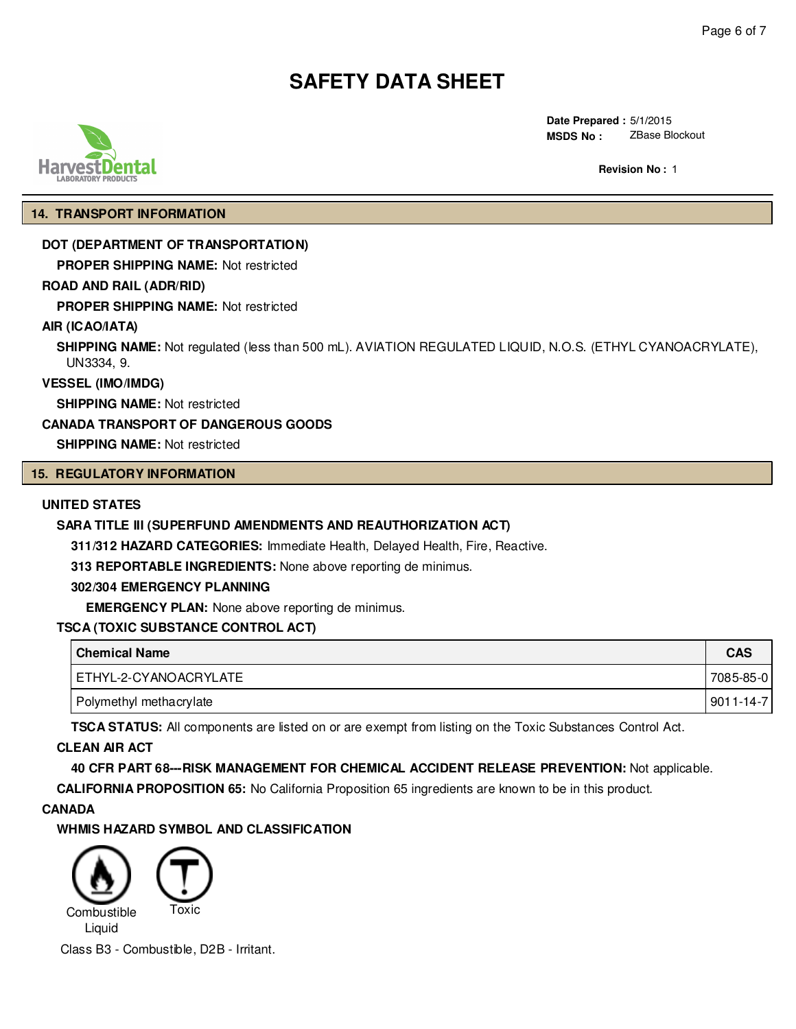

**Date Prepared :** 5/1/2015 **MSDS No :**  ZBase Blockout

**Revision No :** 2

### **14. TRANSPORT INFORMATION**

### **DOT (DEPARTMENT OF TRANSPORTATION)**

**PROPER SHIPPING NAME:** Not restricted

## **ROAD AND RAIL (ADR/RID)**

**PROPER SHIPPING NAME:** Not restricted

### **AIR (ICAO/IATA)**

**SHIPPING NAME:** Not regulated (less than 500 mL). AVIATION REGULATED LIQUID, N.O.S. (ETHYL CYANOACRYLATE), UN3334, 9.

**VESSEL (IMO/IMDG)**

**SHIPPING NAME:** Not restricted

### **CANADA TRANSPORT OF DANGEROUS GOODS**

**SHIPPING NAME:** Not restricted

## **15. REGULATORY INFORMATION**

### **UNITED STATES**

### **SARA TITLE III (SUPERFUND AMENDMENTS AND REAUTHORIZATION ACT)**

**311/312 HAZARD CATEGORIES:** Immediate Health, Delayed Health, Fire, Reactive.

**313 REPORTABLE INGREDIENTS:** None above reporting de minimus.

#### **302/304 EMERGENCY PLANNING**

**EMERGENCY PLAN:** None above reporting de minimus.

### **TSCA (TOXIC SUBSTANCE CONTROL ACT)**

| <b>Chemical Name</b>    | <b>CAS</b>      |
|-------------------------|-----------------|
| ETHYL-2-CYANOACRYLATE   | 7085-85-0       |
| Polymethyl methacrylate | $9011 - 14 - 7$ |

**TSCA STATUS:** All components are listed on or are exempt from listing on the Toxic Substances Control Act.

### **CLEAN AIR ACT**

**40 CFR PART 68---RISK MANAGEMENT FOR CHEMICAL ACCIDENT RELEASE PREVENTION:** Not applicable.

**CALIFORNIA PROPOSITION 65:** No California Proposition 65 ingredients are known to be in this product.

### **CANADA**

**WHMIS HAZARD SYMBOL AND CLASSIFICATION**



Class B3 - Combustible, D2B - Irritant.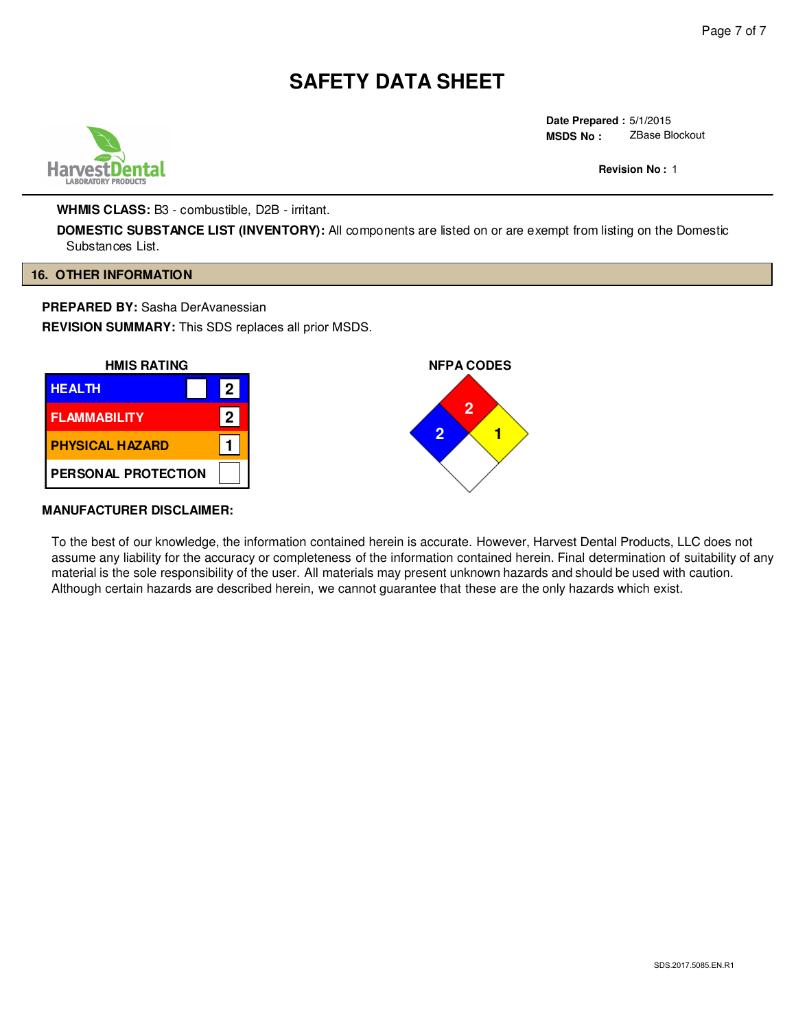

**Date Prepared :** 5/1/2015 **MSDS No :**  ZBase Blockout

**Revision No :** 2

**WHMIS CLASS:** B3 - combustible, D2B - irritant.

**DOMESTIC SUBSTANCE LIST (INVENTORY):** All components are listed on or are exempt from listing on the Domestic Substances List.

### **16. OTHER INFORMATION**

**PREPARED BY:** Sasha DerAvanessian

**REVISION SUMMARY:** This SDS replaces all prior MSDS.



### **MANUFACTURER DISCLAIMER:**

To the best of our knowledge, the information contained herein is accurate. However, Harvest Dental Products, LLC does not assume any liability for the accuracy or completeness of the information contained herein. Final determination of suitability of any material is the sole responsibility of the user. All materials may present unknown hazards and should be used with caution. Although certain hazards are described herein, we cannot guarantee that these are the only hazards which exist.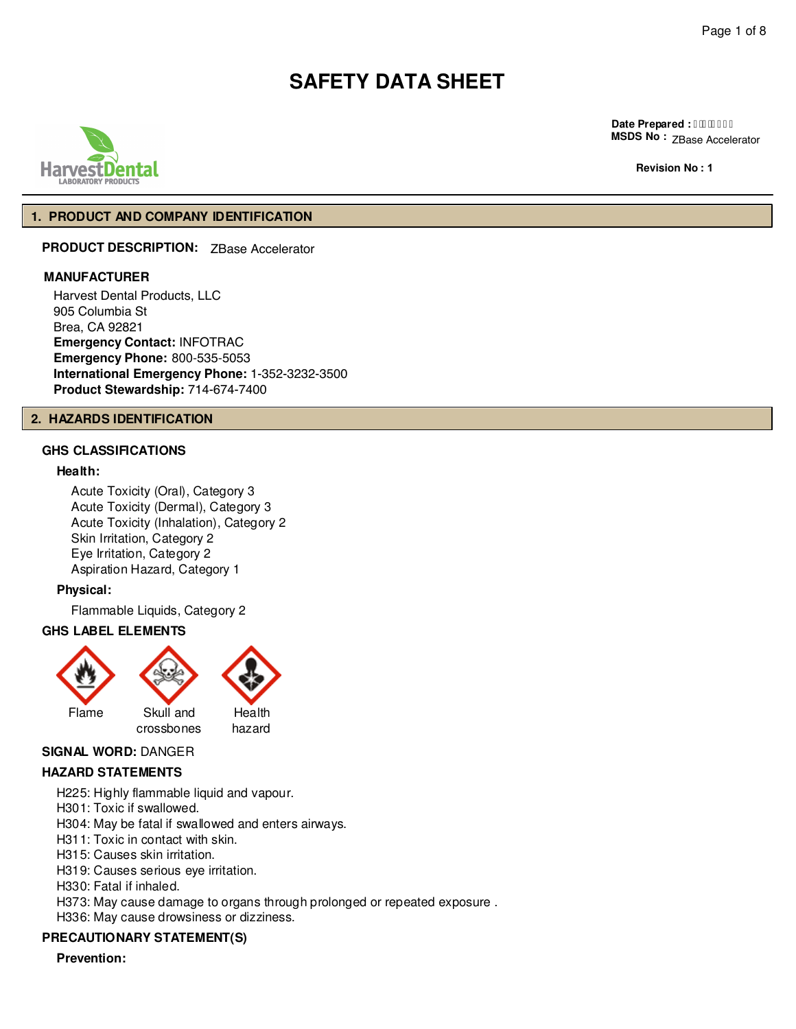

**Date Prepared : I HBBEFI MSDS No :**  ZBase Accelerator

**Revision No : 2**

### **1. PRODUCT AND COMPANY IDENTIFICATION**

**PRODUCT DESCRIPTION:** ZBase Accelerator

#### **MANUFACTURER**

Harvest Dental Products, LLC 905 Columbia St Brea, CA 92821 **Emergency Contact:** INFOTRAC **Emergency Phone:** 800-535-5053 **International Emergency Phone:** 1-352-3232-3500 **Product Stewardship:** 714-674-7400

#### **2. HAZARDS IDENTIFICATION**

## **GHS CLASSIFICATIONS**

## **Health:**

Acute Toxicity (Oral), Category 3 Acute Toxicity (Dermal), Category 3 Acute Toxicity (Inhalation), Category 2 Skin Irritation, Category 2 Eye Irritation, Category 2 Aspiration Hazard, Category 1

### **Physical:**

Flammable Liquids, Category 2

### **GHS LABEL ELEMENTS**



#### **SIGNAL WORD:** DANGER

### **HAZARD STATEMENTS**

H225: Highly flammable liquid and vapour.

H301: Toxic if swallowed.

H304: May be fatal if swallowed and enters airways.

- H311: Toxic in contact with skin.
- H315: Causes skin irritation.

H319: Causes serious eye irritation.

H330: Fatal if inhaled.

H373: May cause damage to organs through prolonged or repeated exposure .

H336: May cause drowsiness or dizziness.

## **PRECAUTIONARY STATEMENT(S)**

**Prevention:**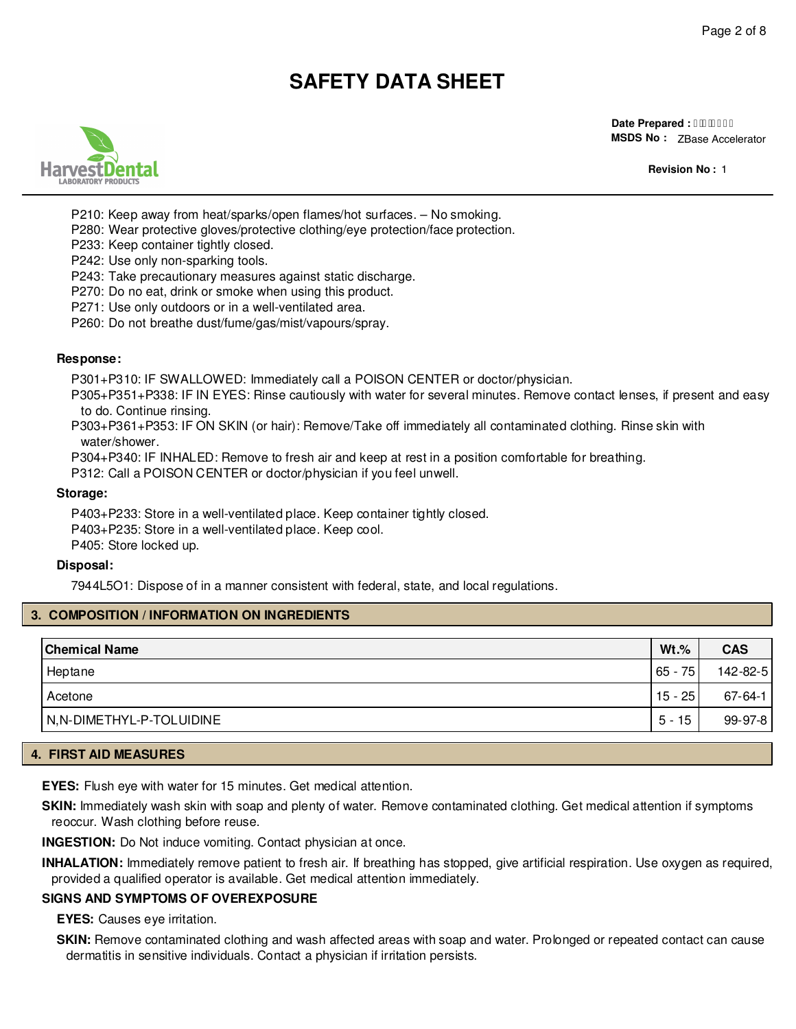

**Date Prepared : I FEBEFI MSDS No :**  ZBase Accelerator

**Revision No :** 2

P210: Keep away from heat/sparks/open flames/hot surfaces. – No smoking.

P280: Wear protective gloves/protective clothing/eye protection/face protection.

P233: Keep container tightly closed.

P242: Use only non-sparking tools.

P243: Take precautionary measures against static discharge.

P270: Do no eat, drink or smoke when using this product.

P271: Use only outdoors or in a well-ventilated area.

P260: Do not breathe dust/fume/gas/mist/vapours/spray.

#### **Response:**

P301+P310: IF SWALLOWED: Immediately call a POISON CENTER or doctor/physician.

P305+P351+P338: IF IN EYES: Rinse cautiously with water for several minutes. Remove contact lenses, if present and easy to do. Continue rinsing.

P303+P361+P353: IF ON SKIN (or hair): Remove/Take off immediately all contaminated clothing. Rinse skin with water/shower.

P304+P340: IF INHALED: Remove to fresh air and keep at rest in a position comfortable for breathing.

P312: Call a POISON CENTER or doctor/physician if you feel unwell.

#### **Storage:**

P403+P233: Store in a well-ventilated place. Keep container tightly closed. P403+P235: Store in a well-ventilated place. Keep cool. P405: Store locked up.

#### **Disposal:**

7944L5O1: Dispose of in a manner consistent with federal, state, and local regulations.

### **3. COMPOSITION / INFORMATION ON INGREDIENTS**

| <b>Chemical Name</b>     | $Wt.$ %   | <b>CAS</b>    |
|--------------------------|-----------|---------------|
| Heptane                  | $65 - 75$ | 142-82-5      |
| Acetone                  | $15 - 25$ | $67 - 64 - 1$ |
| N,N-DIMETHYL-P-TOLUIDINE | $5 - 15$  | 99-97-8       |

#### **4. FIRST AID MEASURES**

**EYES:** Flush eye with water for 15 minutes. Get medical attention.

**SKIN:** Immediately wash skin with soap and plenty of water. Remove contaminated clothing. Get medical attention if symptoms reoccur. Wash clothing before reuse.

**INGESTION:** Do Not induce vomiting. Contact physician at once.

**INHALATION:** Immediately remove patient to fresh air. If breathing has stopped, give artificial respiration. Use oxygen as required, provided a qualified operator is available. Get medical attention immediately.

### **SIGNS AND SYMPTOMS OF OVEREXPOSURE**

**EYES:** Causes eye irritation.

**SKIN:** Remove contaminated clothing and wash affected areas with soap and water. Prolonged or repeated contact can cause dermatitis in sensitive individuals. Contact a physician if irritation persists.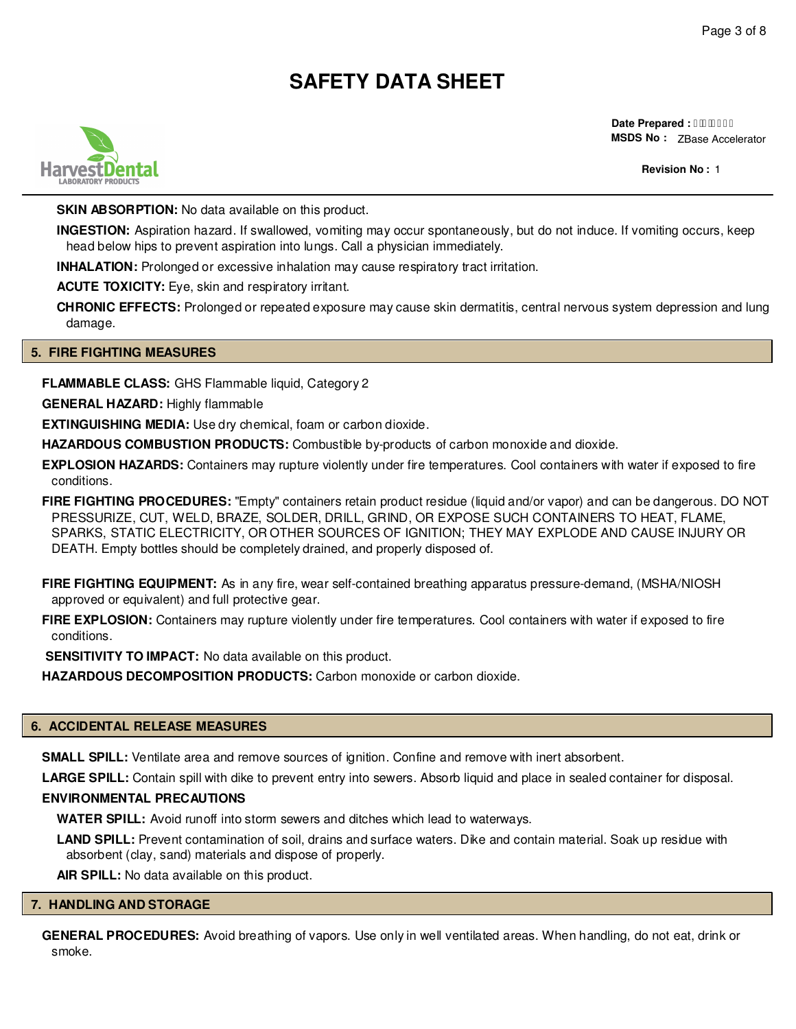

**Date Prepared : I FEBEFI MSDS No :**  ZBase Accelerator

**Revision No :** 2

**SKIN ABSORPTION:** No data available on this product.

**INGESTION:** Aspiration hazard. If swallowed, vomiting may occur spontaneously, but do not induce. If vomiting occurs, keep head below hips to prevent aspiration into lungs. Call a physician immediately.

**INHALATION:** Prolonged or excessive inhalation may cause respiratory tract irritation.

**ACUTE TOXICITY:** Eye, skin and respiratory irritant.

**CHRONIC EFFECTS:** Prolonged or repeated exposure may cause skin dermatitis, central nervous system depression and lung damage.

### **5. FIRE FIGHTING MEASURES**

**FLAMMABLE CLASS:** GHS Flammable liquid, Category 2

**GENERAL HAZARD:** Highly flammable

**EXTINGUISHING MEDIA:** Use dry chemical, foam or carbon dioxide.

**HAZARDOUS COMBUSTION PRODUCTS:** Combustible by-products of carbon monoxide and dioxide.

**EXPLOSION HAZARDS:** Containers may rupture violently under fire temperatures. Cool containers with water if exposed to fire conditions.

**FIRE FIGHTING PROCEDURES:** "Empty" containers retain product residue (liquid and/or vapor) and can be dangerous. DO NOT PRESSURIZE, CUT, WELD, BRAZE, SOLDER, DRILL, GRIND, OR EXPOSE SUCH CONTAINERS TO HEAT, FLAME, SPARKS, STATIC ELECTRICITY, OR OTHER SOURCES OF IGNITION; THEY MAY EXPLODE AND CAUSE INJURY OR DEATH. Empty bottles should be completely drained, and properly disposed of.

**FIRE FIGHTING EQUIPMENT:** As in any fire, wear self-contained breathing apparatus pressure-demand, (MSHA/NIOSH approved or equivalent) and full protective gear.

**FIRE EXPLOSION:** Containers may rupture violently under fire temperatures. Cool containers with water if exposed to fire conditions.

**SENSITIVITY TO IMPACT:** No data available on this product.

**HAZARDOUS DECOMPOSITION PRODUCTS:** Carbon monoxide or carbon dioxide.

### **6. ACCIDENTAL RELEASE MEASURES**

**SMALL SPILL:** Ventilate area and remove sources of ignition. Confine and remove with inert absorbent.

**LARGE SPILL:** Contain spill with dike to prevent entry into sewers. Absorb liquid and place in sealed container for disposal.

### **ENVIRONMENTAL PRECAUTIONS**

**WATER SPILL:** Avoid runoff into storm sewers and ditches which lead to waterways.

**LAND SPILL:** Prevent contamination of soil, drains and surface waters. Dike and contain material. Soak up residue with absorbent (clay, sand) materials and dispose of properly.

**AIR SPILL:** No data available on this product.

## **7. HANDLING AND STORAGE**

**GENERAL PROCEDURES:** Avoid breathing of vapors. Use only in well ventilated areas. When handling, do not eat, drink or smoke.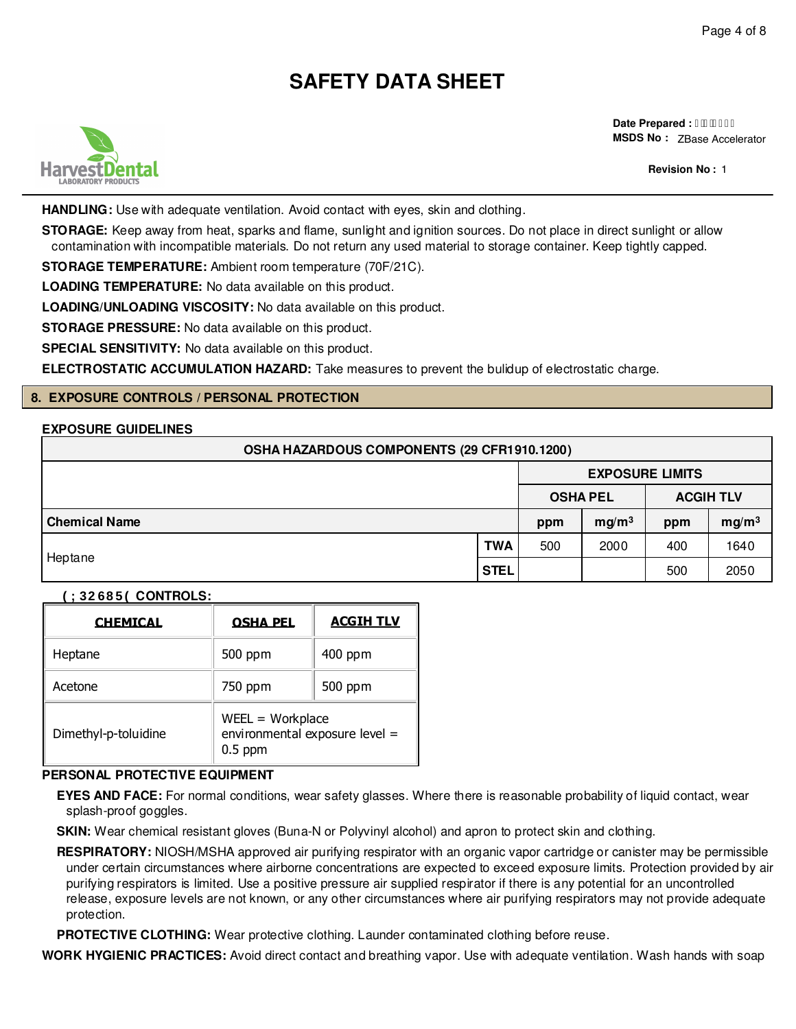

**Date Prepared : I FEBEFI MSDS No :**  ZBase Accelerator

**Revision No :** 2

**HANDLING:** Use with adequate ventilation. Avoid contact with eyes, skin and clothing.

**STORAGE:** Keep away from heat, sparks and flame, sunlight and ignition sources. Do not place in direct sunlight or allow contamination with incompatible materials. Do not return any used material to storage container. Keep tightly capped.

**STORAGE TEMPERATURE:** Ambient room temperature (70F/21C).

**LOADING TEMPERATURE:** No data available on this product.

**LOADING/UNLOADING VISCOSITY:** No data available on this product.

**STORAGE PRESSURE:** No data available on this product.

**SPECIAL SENSITIVITY:** No data available on this product.

**ELECTROSTATIC ACCUMULATION HAZARD:** Take measures to prevent the bulidup of electrostatic charge.

## **8. EXPOSURE CONTROLS / PERSONAL PROTECTION**

### **EXPOSURE GUIDELINES**

| OSHA HAZARDOUS COMPONENTS (29 CFR1910.1200) |             |     |                        |                  |                   |  |
|---------------------------------------------|-------------|-----|------------------------|------------------|-------------------|--|
|                                             |             |     | <b>EXPOSURE LIMITS</b> |                  |                   |  |
|                                             |             |     | <b>OSHA PEL</b>        | <b>ACGIH TLV</b> |                   |  |
| <b>Chemical Name</b>                        |             | ppm | mg/m <sup>3</sup>      | ppm              | mg/m <sup>3</sup> |  |
|                                             | <b>TWA</b>  | 500 | 2000                   | 400              | 1640              |  |
| Heptane                                     | <b>STEL</b> |     |                        | 500              | 2050              |  |

#### **(;32685( CONTROLS:**

| <b>CHEMICAL</b>      | <b>OSHA PEL</b>                                                   | <b>ACGIH TLV</b> |  |  |
|----------------------|-------------------------------------------------------------------|------------------|--|--|
| Heptane              | 500 ppm                                                           | $400$ ppm        |  |  |
| Acetone              | 750 ppm                                                           | 500 ppm          |  |  |
| Dimethyl-p-toluidine | $WEEL = Workplace$<br>environmental exposure level =<br>$0.5$ ppm |                  |  |  |

## **PERSONAL PROTECTIVE EQUIPMENT**

**EYES AND FACE:** For normal conditions, wear safety glasses. Where there is reasonable probability of liquid contact, wear splash-proof goggles.

**SKIN:** Wear chemical resistant gloves (Buna-N or Polyvinyl alcohol) and apron to protect skin and clothing.

**RESPIRATORY:** NIOSH/MSHA approved air purifying respirator with an organic vapor cartridge or canister may be permissible under certain circumstances where airborne concentrations are expected to exceed exposure limits. Protection provided by air purifying respirators is limited. Use a positive pressure air supplied respirator if there is any potential for an uncontrolled release, exposure levels are not known, or any other circumstances where air purifying respirators may not provide adequate protection.

**PROTECTIVE CLOTHING:** Wear protective clothing. Launder contaminated clothing before reuse.

**WORK HYGIENIC PRACTICES:** Avoid direct contact and breathing vapor. Use with adequate ventilation. Wash hands with soap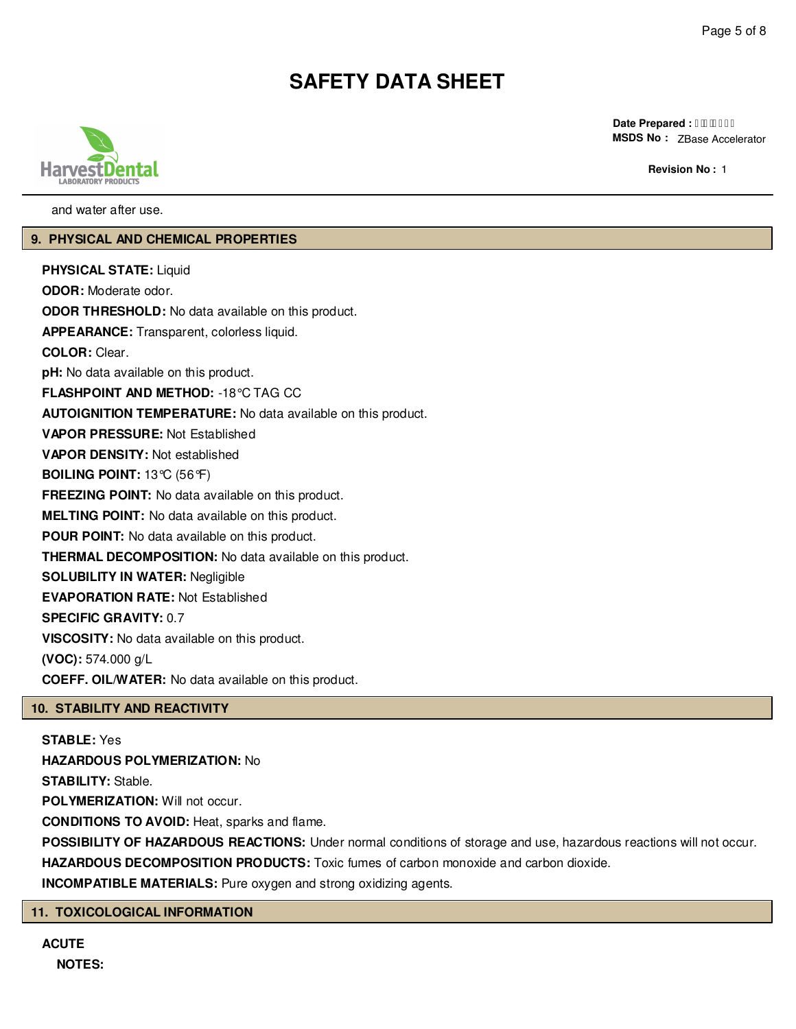

**Date Prepared : I FEBEFI MSDS No :**  ZBase Accelerator

**Revision No :** 2

and water after use.

### **9. PHYSICAL AND CHEMICAL PROPERTIES**

**PHYSICAL STATE:** Liquid **ODOR:** Moderate odor. **ODOR THRESHOLD:** No data available on this product. **APPEARANCE:** Transparent, colorless liquid. **COLOR:** Clear. **pH:** No data available on this product. **FLASHPOINT AND METHOD:** -18°C TAG CC **AUTOIGNITION TEMPERATURE:** No data available on this product. **VAPOR PRESSURE:** Not Established **VAPOR DENSITY:** Not established **BOILING POINT:** 13°C (56°F) **FREEZING POINT:** No data available on this product. **MELTING POINT:** No data available on this product. **POUR POINT:** No data available on this product. **THERMAL DECOMPOSITION:** No data available on this product. **SOLUBILITY IN WATER:** Negligible **EVAPORATION RATE:** Not Established **SPECIFIC GRAVITY:** 0.7 **VISCOSITY:** No data available on this product. **(VOC):** 574.000 g/L **COEFF. OIL/WATER:** No data available on this product.

## **10. STABILITY AND REACTIVITY**

**STABLE:** Yes **HAZARDOUS POLYMERIZATION:** No **STABILITY:** Stable. POLYMERIZATION: Will not occur. **CONDITIONS TO AVOID:** Heat, sparks and flame. **POSSIBILITY OF HAZARDOUS REACTIONS:** Under normal conditions of storage and use, hazardous reactions will not occur. **HAZARDOUS DECOMPOSITION PRODUCTS:** Toxic fumes of carbon monoxide and carbon dioxide.

**INCOMPATIBLE MATERIALS:** Pure oxygen and strong oxidizing agents.

### **11. TOXICOLOGICAL INFORMATION**

**ACUTE NOTES:**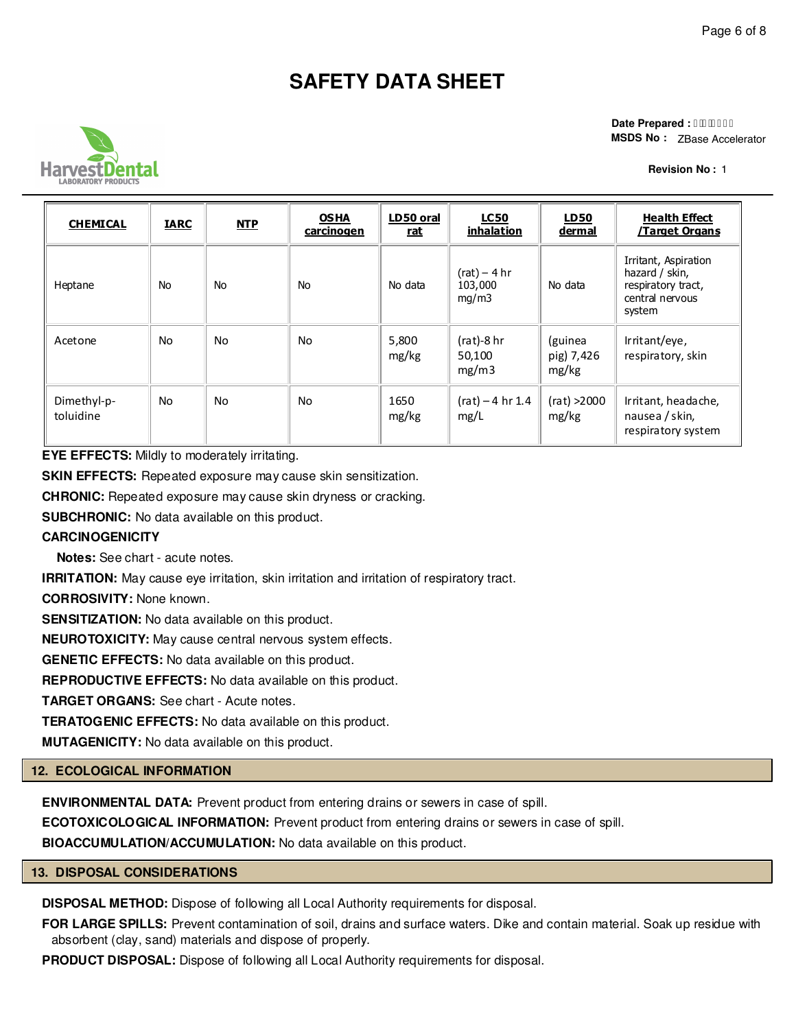

**Date Prepared : I FEBEFI MSDS No :**  ZBase Accelerator

**Revision No :** 2

| <b>CHEMICAL</b>          | <b>IARC</b> | <b>NTP</b> | <b>OSHA</b><br><u>carcinogen</u> | LD50 oral<br><u>rat</u> | <u>LC50</u><br>inhalation          | <b>LD50</b><br><u>dermal</u>   | <b>Health Effect</b><br><u>/Target Organs</u>                                             |
|--------------------------|-------------|------------|----------------------------------|-------------------------|------------------------------------|--------------------------------|-------------------------------------------------------------------------------------------|
| Heptane                  | <b>No</b>   | <b>No</b>  | <b>No</b>                        | No data                 | $(rat) - 4 hr$<br>103,000<br>mq/m3 | No data                        | Irritant, Aspiration<br>hazard / skin,<br>respiratory tract,<br>central nervous<br>system |
| Acetone                  | No          | <b>No</b>  | No                               | 5,800<br>mg/kg          | $(rat)$ -8 hr<br>50,100<br>mg/m3   | (guinea<br>pig) 7,426<br>mg/kg | Irritant/eye,<br>respiratory, skin                                                        |
| Dimethyl-p-<br>toluidine | No          | <b>No</b>  | No                               | 1650<br>mg/kg           | $(rat) - 4 hr 1.4$<br>mg/L         | (rat) >2000<br>mg/kg           | Irritant, headache,<br>nausea / skin,<br>respiratory system                               |

**EYE EFFECTS:** Mildly to moderately irritating.

**SKIN EFFECTS:** Repeated exposure may cause skin sensitization.

**CHRONIC:** Repeated exposure may cause skin dryness or cracking.

**SUBCHRONIC:** No data available on this product.

## **CARCINOGENICITY**

**Notes:** See chart - acute notes.

**IRRITATION:** May cause eye irritation, skin irritation and irritation of respiratory tract.

**CORROSIVITY:** None known.

**SENSITIZATION:** No data available on this product.

**NEUROTOXICITY:** May cause central nervous system effects.

**GENETIC EFFECTS:** No data available on this product.

**REPRODUCTIVE EFFECTS:** No data available on this product.

**TARGET ORGANS:** See chart - Acute notes.

**TERATOGENIC EFFECTS:** No data available on this product.

**MUTAGENICITY:** No data available on this product.

### **12. ECOLOGICAL INFORMATION**

**ENVIRONMENTAL DATA:** Prevent product from entering drains or sewers in case of spill.

**ECOTOXICOLOGICAL INFORMATION:** Prevent product from entering drains or sewers in case of spill.

**BIOACCUMULATION/ACCUMULATION:** No data available on this product.

### **13. DISPOSAL CONSIDERATIONS**

**DISPOSAL METHOD:** Dispose of following all Local Authority requirements for disposal.

**FOR LARGE SPILLS:** Prevent contamination of soil, drains and surface waters. Dike and contain material. Soak up residue with absorbent (clay, sand) materials and dispose of properly.

**PRODUCT DISPOSAL:** Dispose of following all Local Authority requirements for disposal.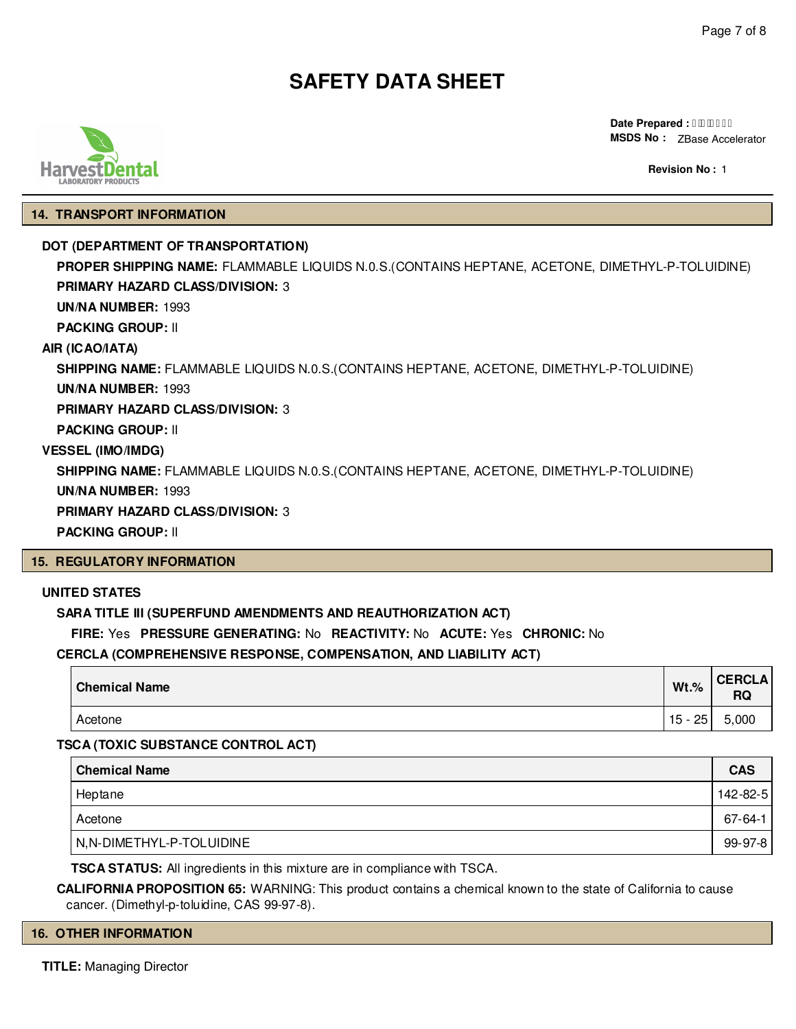**Date Prepared : I HBBEFI MSDS No :** ZBase Accelerator

**Revision No :** 2

### **14. TRANSPORT INFORMATION**

### **DOT (DEPARTMENT OF TRANSPORTATION)**

**PROPER SHIPPING NAME:** FLAMMABLE LIQUIDS N.0.S.(CONTAINS HEPTANE, ACETONE, DIMETHYL-P-TOLUIDINE) **PRIMARY HAZARD CLASS/DIVISION:** 3 **UN/NA NUMBER:** 1993 **PACKING GROUP:** II **AIR (ICAO/IATA) SHIPPING NAME:** FLAMMABLE LIQUIDS N.0.S.(CONTAINS HEPTANE, ACETONE, DIMETHYL-P-TOLUIDINE) **UN/NA NUMBER:** 1993 **PRIMARY HAZARD CLASS/DIVISION:** 3 **PACKING GROUP:** II **VESSEL (IMO/IMDG) SHIPPING NAME:** FLAMMABLE LIQUIDS N.0.S.(CONTAINS HEPTANE, ACETONE, DIMETHYL-P-TOLUIDINE) **UN/NA NUMBER:** 1993 **PRIMARY HAZARD CLASS/DIVISION:** 3 **PACKING GROUP:** II **15. REGULATORY INFORMATION**

### **UNITED STATES**

### **SARA TITLE III (SUPERFUND AMENDMENTS AND REAUTHORIZATION ACT)**

**FIRE:** Yes **PRESSURE GENERATING:** No **REACTIVITY:** No **ACUTE:** Yes **CHRONIC:** No

### **CERCLA (COMPREHENSIVE RESPONSE, COMPENSATION, AND LIABILITY ACT)**

| <b>Chemical Name</b> | $Wt.\%$    | <b>CERCLA</b><br>RQ |
|----------------------|------------|---------------------|
| Acetone              | 25<br>15 - | 5,000               |

**TSCA (TOXIC SUBSTANCE CONTROL ACT)**

| <b>Chemical Name</b>     | <b>CAS</b> |
|--------------------------|------------|
| Heptane                  | 142-82-5   |
| Acetone                  | 67-64-1    |
| N,N-DIMETHYL-P-TOLUIDINE | 99-97-8    |

**TSCA STATUS:** All ingredients in this mixture are in compliance with TSCA.

**CALIFORNIA PROPOSITION 65:** WARNING: This product contains a chemical known to the state of California to cause cancer. (Dimethyl-p-toluidine, CAS 99-97-8).

### **16. OTHER INFORMATION**